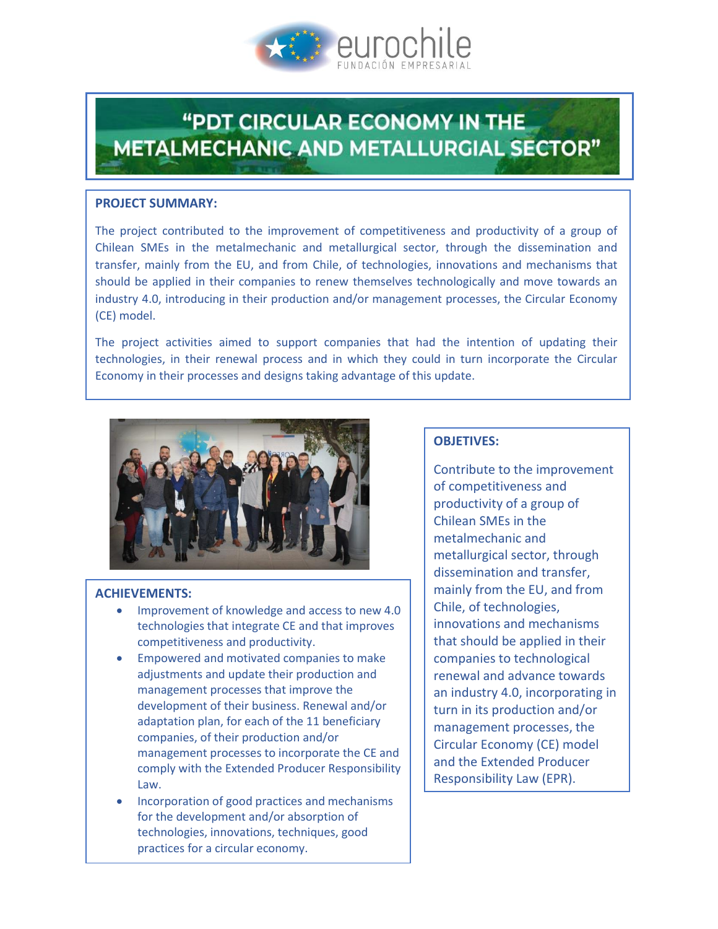

# **"PDT CIRCULAR ECONOMY IN THE METALMECHANIC AND METALLURGIAL SECTOR"**

#### **PROJECT SUMMARY:**

The project contributed to the improvement of competitiveness and productivity of a group of Chilean SMEs in the metalmechanic and metallurgical sector, through the dissemination and transfer, mainly from the EU, and from Chile, of technologies, innovations and mechanisms that should be applied in their companies to renew themselves technologically and move towards an industry 4.0, introducing in their production and/or management processes, the Circular Economy (CE) model.

The project activities aimed to support companies that had the intention of updating their technologies, in their renewal process and in which they could in turn incorporate the Circular Economy in their processes and designs taking advantage of this update.



## **ACHIEVEMENTS:**

- **•** Improvement of knowledge and access to new 4.0 technologies that integrate CE and that improves competitiveness and productivity.
- Empowered and motivated companies to make adjustments and update their production and management processes that improve the development of their business. Renewal and/or adaptation plan, for each of the 11 beneficiary companies, of their production and/or management processes to incorporate the CE and comply with the Extended Producer Responsibility Law.
- Incorporation of good practices and mechanisms for the development and/or absorption of technologies, innovations, techniques, good practices for a circular economy.

## **OBJETIVES:**

Contribute to the improvement of competitiveness and productivity of a group of Chilean SMEs in the metalmechanic and metallurgical sector, through dissemination and transfer, mainly from the EU, and from Chile, of technologies, innovations and mechanisms that should be applied in their companies to technological renewal and advance towards an industry 4.0, incorporating in turn in its production and/or management processes, the Circular Economy (CE) model and the Extended Producer Responsibility Law (EPR).